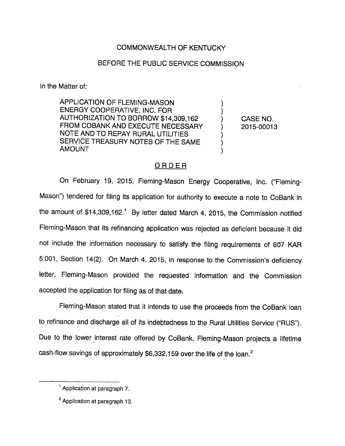## COMMONWEALTH OF KENTUCKY

## BEFORE THE PUBLIC SERVICE COMMISSION

In the Matter of:

APPLICATION OF FLEMING-MASON ENERGY COOPERATIVE, INC. FOR AUTHORIZATION TO BORROW \$14,309,162 ) CASE NO. FROM COBANK AND EXECUTE NECESSARY (2015-00013 NOTE AND TO REPAY RURAL UTILITIES SERVICE TREASURY NOTES OF THE SAME AMOUNT

## ORDER

On February 19, 2015, Fleming-Mason Energy Cooperative, Inc. ("Fleming-Mason") tendered for filing its application for authority to execute a note to CoBank in the amount of  $$14,309,162<sup>1</sup>$  By letter dated March 4, 2015, the Commission notified Fleming-Mason that its refinancing application was rejected as deficient because it did not include the information necessary to satisfy the filing requirements of 807 KAR 5:001, Section 14(2). On March 4, 2015, in response to the Commission's deficiency letter, Fleming-Mason provided the requested information and the Commission accepted the application for filing as of that date.

Fleming-Mason stated that it intends to use the proceeds from the CoBank loan to refinance and discharge all of its indebtedness to the Rural Utilities Service ("RUS"). Due to the lower interest rate offered by CoBank, Fleming-Mason projects a lifetime cash-flow savings of approximately  $$6,332,159$  over the life of the loan.<sup>2</sup>

<sup>&</sup>lt;sup>1</sup> Application at paragraph 7.

<sup>&</sup>lt;sup>2</sup> Application at paragraph 13.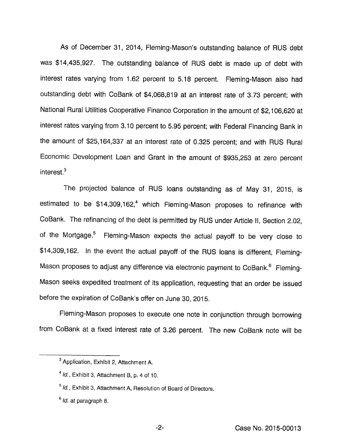As of December 31, 2014, Fleming-Mason's outstanding balance of RUS debt was \$14,435,927. The outstanding balance of RUS debt is made up of debt with interest rates varying from 1.62 percent to 5.18 percent. Fleming-Mason also had outstanding debt with CoBank of \$4,068,819 at an interest rate of 3.73 percent; with Nationai Rural Utilities Cooperative Finance Corporation in the amount of \$2,106,620 at interest rates varying from 3.10 percent to 5.95 percent; with Federal Financing Bank in the amount of \$25,164,337 at an interest rate of 0.325 percent; and with RUS Rural Economic Development Loan and Grant in the amount of \$935,253 at zero percent interest. $3$ 

The projected balance of RUS loans outstanding as of May 31, 2015, is estimated to be  $$14,309,162<sup>4</sup>$  which Fleming-Mason proposes to refinance with CoBank. The refinancing of the debt is permitted by RUS under Article II, Section 2.02, of the Mortgage.<sup>5</sup> Fleming-Mason expects the actual payoff to be very close to \$14,309,162. In the event the actual payoff of the RUS loans is different, Fleming-Mason proposes to adjust any difference via electronic payment to CoBank.<sup>6</sup> Fleming-Mason seeks expedited treatment of its application, requesting that an order be issued before the expiration of CoBank's offer on June 30, 2015.

Fieming-Mason proposes to execute one note in conjunction through borrowing from CoBank at a fixed interest rate of 3.26 percent. The new CoBank note will be

<sup>&</sup>lt;sup>3</sup> Application, Exhibit 2, Attachment A.

 $1/4$  *Id.*, Exhibit 3, Attachment B, p. 4 of 10.

 $<sup>5</sup>$  Id., Exhibit 3, Attachment A, Resolution of Board of Directors.</sup>

<sup>&</sup>lt;sup>6</sup> *Id.* at paragraph 8.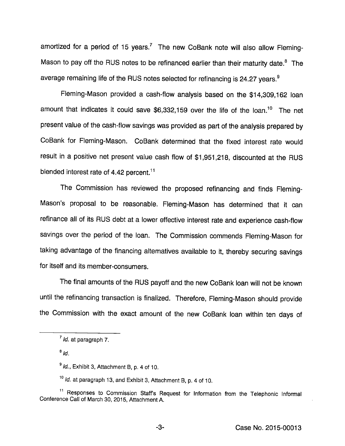amortized for a period of 15 years.<sup>7</sup> The new CoBank note will also allow Fleming-Mason to pay off the RUS notes to be refinanced earlier than their maturity date. $<sup>8</sup>$  The</sup> average remaining life of the RUS notes selected for refinancing is 24.27 years.<sup>9</sup>

Fleming-Mason provided a cash-flow analysis based on the \$14,309,162 loan amount that indicates it could save  $$6,332,159$  over the life of the loan.<sup>10</sup> The net present value of the cash-flow savings was provided as part of the analysis prepared by CoBank for Fleming-Mason. CoBank determined that the fixed interest rate would result in a positive net present value cash flow of \$1,951,218, discounted at the RUS blended interest rate of 4.42 percent. $<sup>11</sup>$ </sup>

The Commission has reviewed the proposed refinancing and finds Fleming-Mason's proposal to be reasonable. Fleming-Mason has determined that it can refinance all of its RUS debt at a lower effective interest rate and experience cash-flow savings over the period of the loan. The Commission commends Fleming-Mason for taking advantage of the financing alternatives available to it, thereby securing savings for itself and its member-consumers.

The final amounts of the RUS payoff and the new CoBank loan will not be known until the refinancing transaction is finalized. Therefore, Fleming-Mason should provide the Commission with the exact amount of the new CoBank loan within ten days of

 $^7$  *ld.* at paragraph 7.

 $^8$  Id.

 $^9$  Id., Exhibit 3, Attachment B, p. 4 of 10.

 $10$  Id. at paragraph 13, and Exhibit 3, Attachment B, p, 4 of 10.

<sup>&</sup>lt;sup>11</sup> Responses to Commission Staff's Request for Information from the Telephonic Informal Conference Call of March 30, 2015, Attachment A.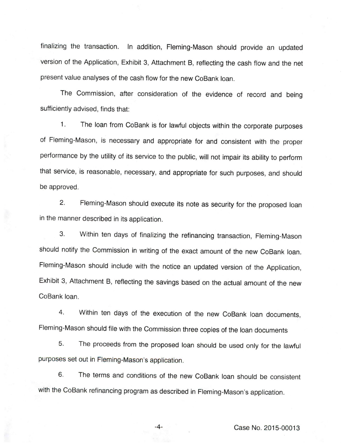finalizing the transaction. In addition, Fleming-Mason should provide an updated version of the Application, Exhibit 3, Attachment B, reflecting the cash flow and the net present value analyses of the cash flow for the new CoBank loan.

The Commission, after consideration of the evidence of record and being sufficiently advised, finds that:

1. The loan from CoBank is for lawful objects within the corporate purposes of Fleming-Mason, is necessary and appropriate for and consistent with the proper performance by the utility of its service to the public, will not impair its ability to perform that service, is reasonable, necessary, and appropriate for such purposes, and should be approved.

2. Fleming-Mason should execute its note as security for the proposed loan in the manner described in its application.

3. Within ten days of finalizing the refinancing transaction, Fleming-Mason should notify the Commission in writing of the exact amount of the new CoBank loan. Fleming-Mason should include with the notice an updated version of the Application, Exhibit 3, Attachment B, reflecting the savings based on the actual amount of the new CoBank loan.

4. Within ten days of the execution of the new CoBank loan documents, Fleming-Mason should file with the Commission three copies of the loan documents

5. The proceeds from the proposed loan should be used only for the lawful purposes set out in Fleming-Mason's application.

6. The terms and conditions of the new CoBank loan should be consistent with the CoBank refinancing program as described in Fleming-Mason's application.

-4- Case No. 2015-00013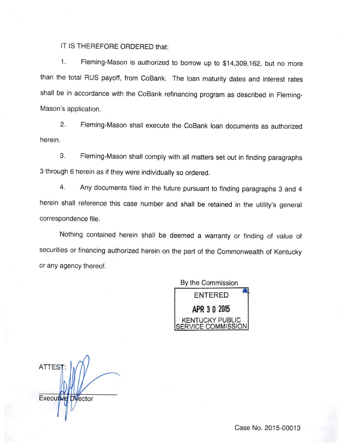## IT IS THEREFORE ORDERED that:

1. Fleming-Mason is authorized to borrow up to \$14,309,162, but no more than the total RUS payoff, from CoBank. The loan maturity dates and interest rates shall be in accordance with the CoBank refinancing program as described in Fleming-Mason's application.

2. Fleming-Mason shall execute the CoBank loan documents as authorized herein.

3. Fleming-Mason shall comply with all matters set out in finding paragraphs 3 through 6 herein as if theywere individually so ordered.

4. Any documents filed in the future pursuant to finding paragraphs 3 and 4 herein shall reference this case number and shall be retained in the utility's general correspondence file.

Nothing contained herein shall be deemed a warranty or finding of value of securities or financing authorized herein on the part of the Commonwealth of Kentucky or any agency thereof.



**ATTES** Executive Director

Case No. 2015-00013